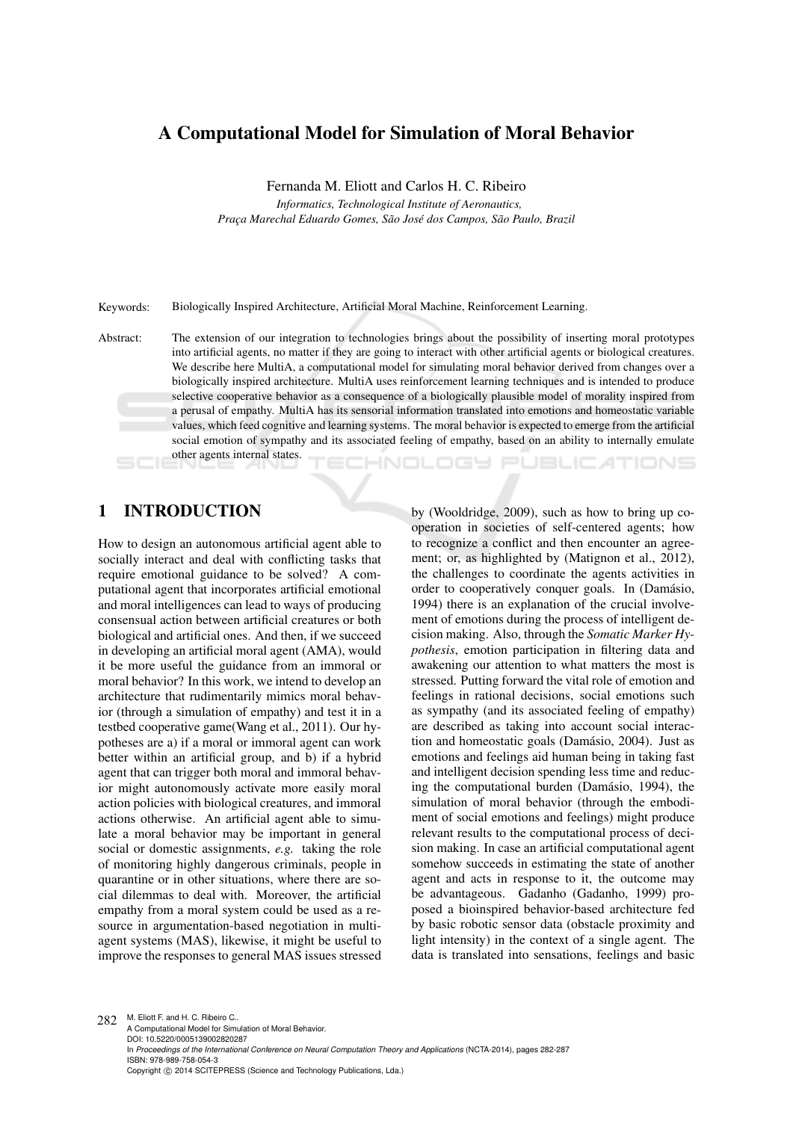# A Computational Model for Simulation of Moral Behavior

Fernanda M. Eliott and Carlos H. C. Ribeiro

*Informatics, Technological Institute of Aeronautics, Prac¸a Marechal Eduardo Gomes, Sao Jos ˜ e dos Campos, S ´ ao Paulo, Brazil ˜*

Keywords: Biologically Inspired Architecture, Artificial Moral Machine, Reinforcement Learning.

Abstract: The extension of our integration to technologies brings about the possibility of inserting moral prototypes into artificial agents, no matter if they are going to interact with other artificial agents or biological creatures. We describe here MultiA, a computational model for simulating moral behavior derived from changes over a biologically inspired architecture. MultiA uses reinforcement learning techniques and is intended to produce selective cooperative behavior as a consequence of a biologically plausible model of morality inspired from a perusal of empathy. MultiA has its sensorial information translated into emotions and homeostatic variable values, which feed cognitive and learning systems. The moral behavior is expected to emerge from the artificial social emotion of sympathy and its associated feeling of empathy, based on an ability to internally emulate other agents internal states. **IHNOLOGY PUBLIC ATIONS** 

# 1 INTRODUCTION

How to design an autonomous artificial agent able to socially interact and deal with conflicting tasks that require emotional guidance to be solved? A computational agent that incorporates artificial emotional and moral intelligences can lead to ways of producing consensual action between artificial creatures or both biological and artificial ones. And then, if we succeed in developing an artificial moral agent (AMA), would it be more useful the guidance from an immoral or moral behavior? In this work, we intend to develop an architecture that rudimentarily mimics moral behavior (through a simulation of empathy) and test it in a testbed cooperative game(Wang et al., 2011). Our hypotheses are a) if a moral or immoral agent can work better within an artificial group, and b) if a hybrid agent that can trigger both moral and immoral behavior might autonomously activate more easily moral action policies with biological creatures, and immoral actions otherwise. An artificial agent able to simulate a moral behavior may be important in general social or domestic assignments, *e.g.* taking the role of monitoring highly dangerous criminals, people in quarantine or in other situations, where there are social dilemmas to deal with. Moreover, the artificial empathy from a moral system could be used as a resource in argumentation-based negotiation in multiagent systems (MAS), likewise, it might be useful to improve the responses to general MAS issues stressed

by (Wooldridge, 2009), such as how to bring up cooperation in societies of self-centered agents; how to recognize a conflict and then encounter an agreement; or, as highlighted by (Matignon et al., 2012), the challenges to coordinate the agents activities in order to cooperatively conquer goals. In (Damásio, 1994) there is an explanation of the crucial involvement of emotions during the process of intelligent decision making. Also, through the *Somatic Marker Hypothesis*, emotion participation in filtering data and awakening our attention to what matters the most is stressed. Putting forward the vital role of emotion and feelings in rational decisions, social emotions such as sympathy (and its associated feeling of empathy) are described as taking into account social interaction and homeostatic goals (Damásio, 2004). Just as emotions and feelings aid human being in taking fast and intelligent decision spending less time and reducing the computational burden (Damásio, 1994), the simulation of moral behavior (through the embodiment of social emotions and feelings) might produce relevant results to the computational process of decision making. In case an artificial computational agent somehow succeeds in estimating the state of another agent and acts in response to it, the outcome may be advantageous. Gadanho (Gadanho, 1999) proposed a bioinspired behavior-based architecture fed by basic robotic sensor data (obstacle proximity and light intensity) in the context of a single agent. The data is translated into sensations, feelings and basic

282 M. Eliott F. and H. C. Ribeiro C. A Computational Model for Simulation of Moral Behavior. DOI: 10.5220/0005139002820287 In *Proceedings of the International Conference on Neural Computation Theory and Applications* (NCTA-2014), pages 282-287 ISBN: 978-989-758-054-3 Copyright © 2014 SCITEPRESS (Science and Technology Publications, Lda.)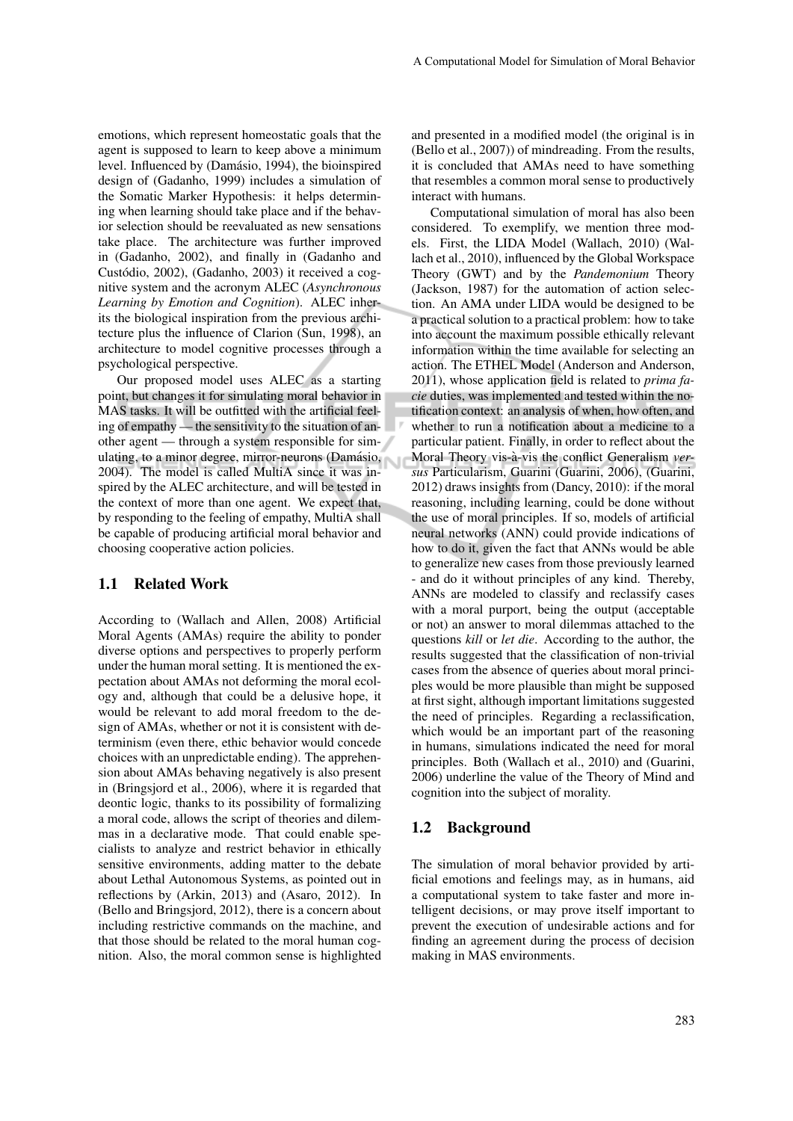emotions, which represent homeostatic goals that the agent is supposed to learn to keep above a minimum level. Influenced by (Damásio, 1994), the bioinspired design of (Gadanho, 1999) includes a simulation of the Somatic Marker Hypothesis: it helps determining when learning should take place and if the behavior selection should be reevaluated as new sensations take place. The architecture was further improved in (Gadanho, 2002), and finally in (Gadanho and Custódio, 2002), (Gadanho, 2003) it received a cognitive system and the acronym ALEC (*Asynchronous Learning by Emotion and Cognition*). ALEC inherits the biological inspiration from the previous architecture plus the influence of Clarion (Sun, 1998), an architecture to model cognitive processes through a psychological perspective.

Our proposed model uses ALEC as a starting point, but changes it for simulating moral behavior in MAS tasks. It will be outfitted with the artificial feeling of empathy — the sensitivity to the situation of another agent — through a system responsible for simulating, to a minor degree, mirror-neurons (Damásio, 2004). The model is called MultiA since it was inspired by the ALEC architecture, and will be tested in the context of more than one agent. We expect that, by responding to the feeling of empathy, MultiA shall be capable of producing artificial moral behavior and choosing cooperative action policies.

#### 1.1 Related Work

According to (Wallach and Allen, 2008) Artificial Moral Agents (AMAs) require the ability to ponder diverse options and perspectives to properly perform under the human moral setting. It is mentioned the expectation about AMAs not deforming the moral ecology and, although that could be a delusive hope, it would be relevant to add moral freedom to the design of AMAs, whether or not it is consistent with determinism (even there, ethic behavior would concede choices with an unpredictable ending). The apprehension about AMAs behaving negatively is also present in (Bringsjord et al., 2006), where it is regarded that deontic logic, thanks to its possibility of formalizing a moral code, allows the script of theories and dilemmas in a declarative mode. That could enable specialists to analyze and restrict behavior in ethically sensitive environments, adding matter to the debate about Lethal Autonomous Systems, as pointed out in reflections by (Arkin, 2013) and (Asaro, 2012). In (Bello and Bringsjord, 2012), there is a concern about including restrictive commands on the machine, and that those should be related to the moral human cognition. Also, the moral common sense is highlighted

and presented in a modified model (the original is in (Bello et al., 2007)) of mindreading. From the results, it is concluded that AMAs need to have something that resembles a common moral sense to productively interact with humans.

Computational simulation of moral has also been considered. To exemplify, we mention three models. First, the LIDA Model (Wallach, 2010) (Wallach et al., 2010), influenced by the Global Workspace Theory (GWT) and by the *Pandemonium* Theory (Jackson, 1987) for the automation of action selection. An AMA under LIDA would be designed to be a practical solution to a practical problem: how to take into account the maximum possible ethically relevant information within the time available for selecting an action. The ETHEL Model (Anderson and Anderson, 2011), whose application field is related to *prima facie* duties, was implemented and tested within the notification context: an analysis of when, how often, and whether to run a notification about a medicine to a particular patient. Finally, in order to reflect about the Moral Theory vis-à-vis the conflict Generalism ver*sus* Particularism, Guarini (Guarini, 2006), (Guarini, 2012) draws insights from (Dancy, 2010): if the moral reasoning, including learning, could be done without the use of moral principles. If so, models of artificial neural networks (ANN) could provide indications of how to do it, given the fact that ANNs would be able to generalize new cases from those previously learned - and do it without principles of any kind. Thereby, ANNs are modeled to classify and reclassify cases with a moral purport, being the output (acceptable or not) an answer to moral dilemmas attached to the questions *kill* or *let die*. According to the author, the results suggested that the classification of non-trivial cases from the absence of queries about moral principles would be more plausible than might be supposed at first sight, although important limitations suggested the need of principles. Regarding a reclassification, which would be an important part of the reasoning in humans, simulations indicated the need for moral principles. Both (Wallach et al., 2010) and (Guarini, 2006) underline the value of the Theory of Mind and cognition into the subject of morality.

#### 1.2 Background

The simulation of moral behavior provided by artificial emotions and feelings may, as in humans, aid a computational system to take faster and more intelligent decisions, or may prove itself important to prevent the execution of undesirable actions and for finding an agreement during the process of decision making in MAS environments.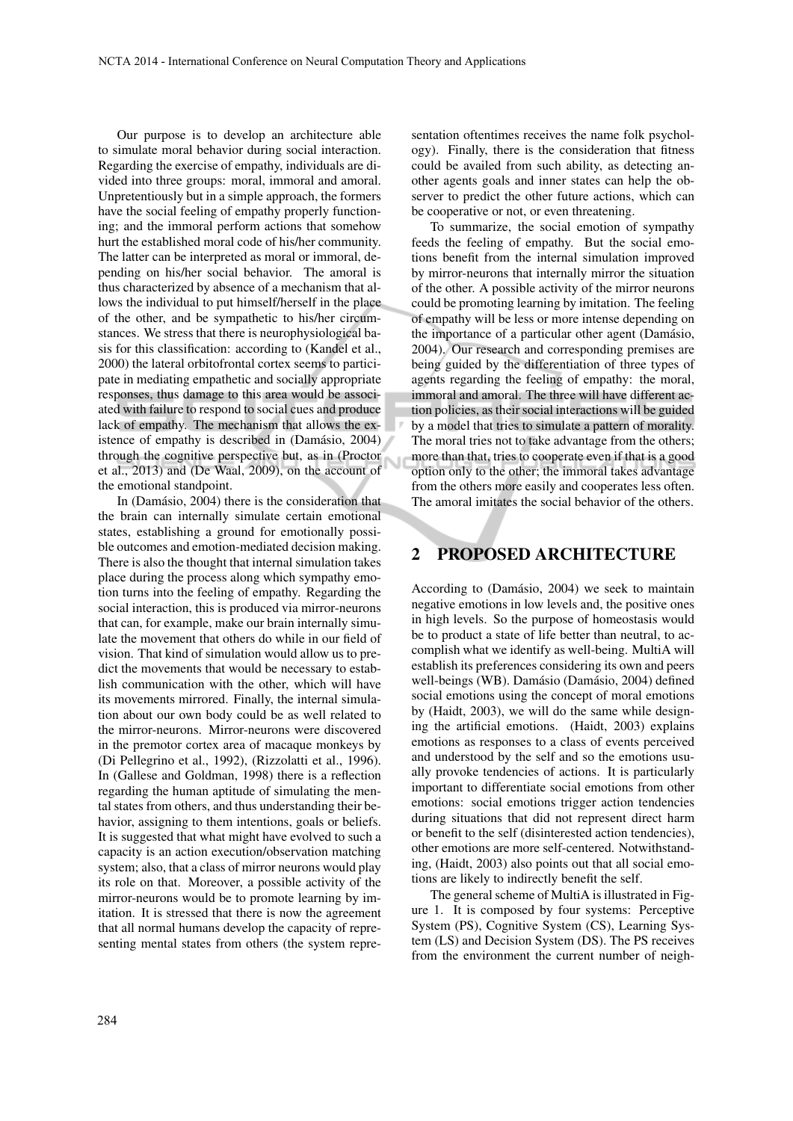Ū

Our purpose is to develop an architecture able to simulate moral behavior during social interaction. Regarding the exercise of empathy, individuals are divided into three groups: moral, immoral and amoral. Unpretentiously but in a simple approach, the formers have the social feeling of empathy properly functioning; and the immoral perform actions that somehow hurt the established moral code of his/her community. The latter can be interpreted as moral or immoral, depending on his/her social behavior. The amoral is thus characterized by absence of a mechanism that allows the individual to put himself/herself in the place of the other, and be sympathetic to his/her circumstances. We stress that there is neurophysiological basis for this classification: according to (Kandel et al., 2000) the lateral orbitofrontal cortex seems to participate in mediating empathetic and socially appropriate responses, thus damage to this area would be associated with failure to respond to social cues and produce lack of empathy. The mechanism that allows the existence of empathy is described in (Damásio, 2004) through the cognitive perspective but, as in (Proctor et al., 2013) and (De Waal, 2009), on the account of the emotional standpoint.

In (Damásio, 2004) there is the consideration that the brain can internally simulate certain emotional states, establishing a ground for emotionally possible outcomes and emotion-mediated decision making. There is also the thought that internal simulation takes place during the process along which sympathy emotion turns into the feeling of empathy. Regarding the social interaction, this is produced via mirror-neurons that can, for example, make our brain internally simulate the movement that others do while in our field of vision. That kind of simulation would allow us to predict the movements that would be necessary to establish communication with the other, which will have its movements mirrored. Finally, the internal simulation about our own body could be as well related to the mirror-neurons. Mirror-neurons were discovered in the premotor cortex area of macaque monkeys by (Di Pellegrino et al., 1992), (Rizzolatti et al., 1996). In (Gallese and Goldman, 1998) there is a reflection regarding the human aptitude of simulating the mental states from others, and thus understanding their behavior, assigning to them intentions, goals or beliefs. It is suggested that what might have evolved to such a capacity is an action execution/observation matching system; also, that a class of mirror neurons would play its role on that. Moreover, a possible activity of the mirror-neurons would be to promote learning by imitation. It is stressed that there is now the agreement that all normal humans develop the capacity of representing mental states from others (the system representation oftentimes receives the name folk psychology). Finally, there is the consideration that fitness could be availed from such ability, as detecting another agents goals and inner states can help the observer to predict the other future actions, which can be cooperative or not, or even threatening.

To summarize, the social emotion of sympathy feeds the feeling of empathy. But the social emotions benefit from the internal simulation improved by mirror-neurons that internally mirror the situation of the other. A possible activity of the mirror neurons could be promoting learning by imitation. The feeling of empathy will be less or more intense depending on the importance of a particular other agent (Damásio, 2004). Our research and corresponding premises are being guided by the differentiation of three types of agents regarding the feeling of empathy: the moral, immoral and amoral. The three will have different action policies, as their social interactions will be guided by a model that tries to simulate a pattern of morality. The moral tries not to take advantage from the others; more than that, tries to cooperate even if that is a good option only to the other; the immoral takes advantage from the others more easily and cooperates less often. The amoral imitates the social behavior of the others.

## 2 PROPOSED ARCHITECTURE

According to (Damásio, 2004) we seek to maintain negative emotions in low levels and, the positive ones in high levels. So the purpose of homeostasis would be to product a state of life better than neutral, to accomplish what we identify as well-being. MultiA will establish its preferences considering its own and peers well-beings (WB). Damásio (Damásio, 2004) defined social emotions using the concept of moral emotions by (Haidt, 2003), we will do the same while designing the artificial emotions. (Haidt, 2003) explains emotions as responses to a class of events perceived and understood by the self and so the emotions usually provoke tendencies of actions. It is particularly important to differentiate social emotions from other emotions: social emotions trigger action tendencies during situations that did not represent direct harm or benefit to the self (disinterested action tendencies), other emotions are more self-centered. Notwithstanding, (Haidt, 2003) also points out that all social emotions are likely to indirectly benefit the self.

The general scheme of MultiA is illustrated in Figure 1. It is composed by four systems: Perceptive System (PS), Cognitive System (CS), Learning System (LS) and Decision System (DS). The PS receives from the environment the current number of neigh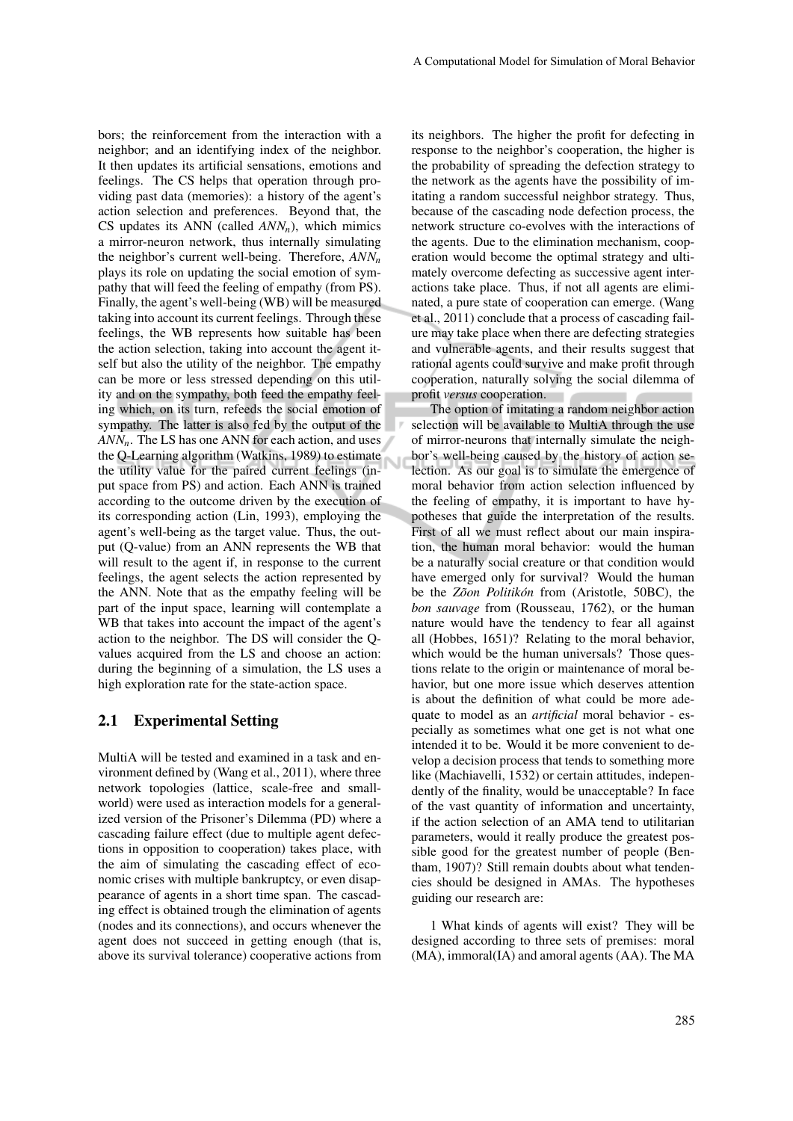bors; the reinforcement from the interaction with a neighbor; and an identifying index of the neighbor. It then updates its artificial sensations, emotions and feelings. The CS helps that operation through providing past data (memories): a history of the agent's action selection and preferences. Beyond that, the CS updates its ANN (called *ANNn*), which mimics a mirror-neuron network, thus internally simulating the neighbor's current well-being. Therefore, *ANN<sup>n</sup>* plays its role on updating the social emotion of sympathy that will feed the feeling of empathy (from PS). Finally, the agent's well-being (WB) will be measured taking into account its current feelings. Through these feelings, the WB represents how suitable has been the action selection, taking into account the agent itself but also the utility of the neighbor. The empathy can be more or less stressed depending on this utility and on the sympathy, both feed the empathy feeling which, on its turn, refeeds the social emotion of sympathy. The latter is also fed by the output of the *ANN<sub>n</sub>*. The LS has one ANN for each action, and uses the Q-Learning algorithm (Watkins, 1989) to estimate the utility value for the paired current feelings (input space from PS) and action. Each ANN is trained according to the outcome driven by the execution of its corresponding action (Lin, 1993), employing the agent's well-being as the target value. Thus, the output (Q-value) from an ANN represents the WB that will result to the agent if, in response to the current feelings, the agent selects the action represented by the ANN. Note that as the empathy feeling will be part of the input space, learning will contemplate a WB that takes into account the impact of the agent's action to the neighbor. The DS will consider the Qvalues acquired from the LS and choose an action: during the beginning of a simulation, the LS uses a high exploration rate for the state-action space.

#### 2.1 Experimental Setting

MultiA will be tested and examined in a task and environment defined by (Wang et al., 2011), where three network topologies (lattice, scale-free and smallworld) were used as interaction models for a generalized version of the Prisoner's Dilemma (PD) where a cascading failure effect (due to multiple agent defections in opposition to cooperation) takes place, with the aim of simulating the cascading effect of economic crises with multiple bankruptcy, or even disappearance of agents in a short time span. The cascading effect is obtained trough the elimination of agents (nodes and its connections), and occurs whenever the agent does not succeed in getting enough (that is, above its survival tolerance) cooperative actions from its neighbors. The higher the profit for defecting in response to the neighbor's cooperation, the higher is the probability of spreading the defection strategy to the network as the agents have the possibility of imitating a random successful neighbor strategy. Thus, because of the cascading node defection process, the network structure co-evolves with the interactions of the agents. Due to the elimination mechanism, cooperation would become the optimal strategy and ultimately overcome defecting as successive agent interactions take place. Thus, if not all agents are eliminated, a pure state of cooperation can emerge. (Wang et al., 2011) conclude that a process of cascading failure may take place when there are defecting strategies and vulnerable agents, and their results suggest that rational agents could survive and make profit through cooperation, naturally solving the social dilemma of profit *versus* cooperation.

The option of imitating a random neighbor action selection will be available to MultiA through the use of mirror-neurons that internally simulate the neighbor's well-being caused by the history of action selection. As our goal is to simulate the emergence of moral behavior from action selection influenced by the feeling of empathy, it is important to have hypotheses that guide the interpretation of the results. First of all we must reflect about our main inspiration, the human moral behavior: would the human be a naturally social creature or that condition would have emerged only for survival? Would the human be the *Zõon Politikón* from (Aristotle, 50BC), the *bon sauvage* from (Rousseau, 1762), or the human nature would have the tendency to fear all against all (Hobbes, 1651)? Relating to the moral behavior, which would be the human universals? Those questions relate to the origin or maintenance of moral behavior, but one more issue which deserves attention is about the definition of what could be more adequate to model as an *artificial* moral behavior - especially as sometimes what one get is not what one intended it to be. Would it be more convenient to develop a decision process that tends to something more like (Machiavelli, 1532) or certain attitudes, independently of the finality, would be unacceptable? In face of the vast quantity of information and uncertainty, if the action selection of an AMA tend to utilitarian parameters, would it really produce the greatest possible good for the greatest number of people (Bentham, 1907)? Still remain doubts about what tendencies should be designed in AMAs. The hypotheses guiding our research are:

1 What kinds of agents will exist? They will be designed according to three sets of premises: moral (MA), immoral(IA) and amoral agents (AA). The MA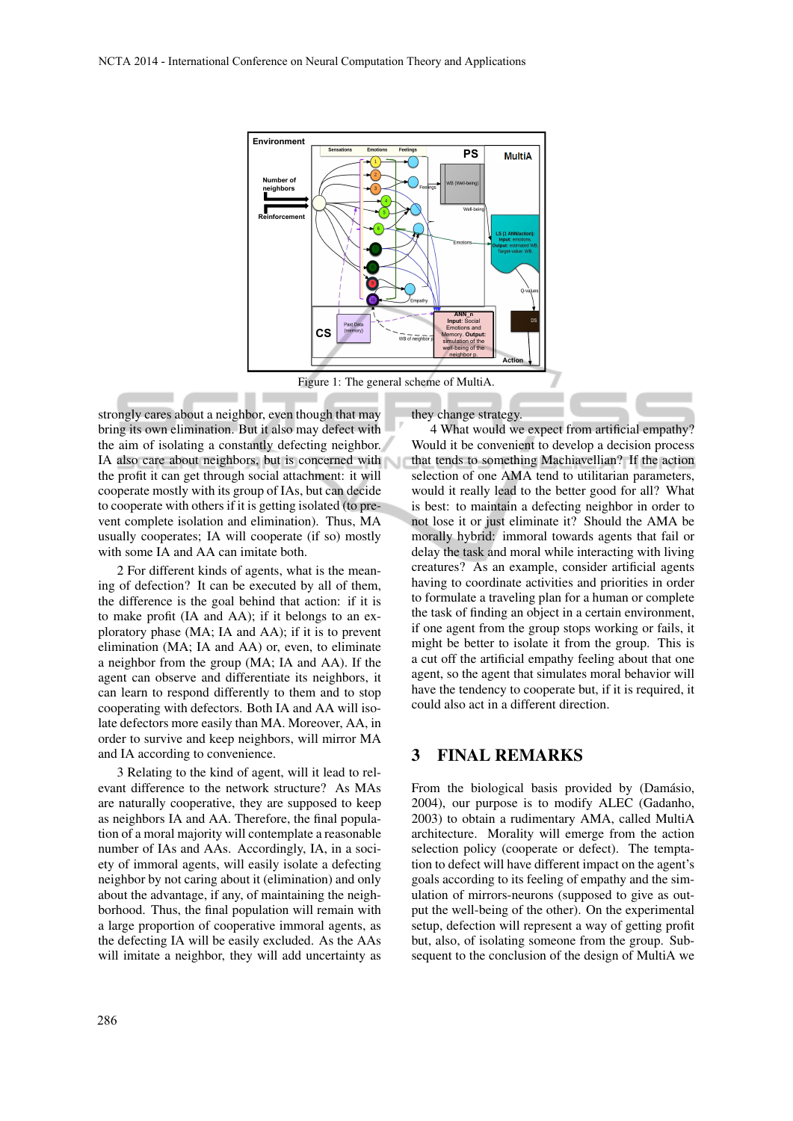

Figure 1: The general scheme of MultiA.

strongly cares about a neighbor, even though that may bring its own elimination. But it also may defect with the aim of isolating a constantly defecting neighbor. IA also care about neighbors, but is concerned with the profit it can get through social attachment: it will cooperate mostly with its group of IAs, but can decide to cooperate with others if it is getting isolated (to prevent complete isolation and elimination). Thus, MA usually cooperates; IA will cooperate (if so) mostly with some IA and AA can imitate both.

2 For different kinds of agents, what is the meaning of defection? It can be executed by all of them, the difference is the goal behind that action: if it is to make profit (IA and AA); if it belongs to an exploratory phase (MA; IA and AA); if it is to prevent elimination (MA; IA and AA) or, even, to eliminate a neighbor from the group (MA; IA and AA). If the agent can observe and differentiate its neighbors, it can learn to respond differently to them and to stop cooperating with defectors. Both IA and AA will isolate defectors more easily than MA. Moreover, AA, in order to survive and keep neighbors, will mirror MA and IA according to convenience.

3 Relating to the kind of agent, will it lead to relevant difference to the network structure? As MAs are naturally cooperative, they are supposed to keep as neighbors IA and AA. Therefore, the final population of a moral majority will contemplate a reasonable number of IAs and AAs. Accordingly, IA, in a society of immoral agents, will easily isolate a defecting neighbor by not caring about it (elimination) and only about the advantage, if any, of maintaining the neighborhood. Thus, the final population will remain with a large proportion of cooperative immoral agents, as the defecting IA will be easily excluded. As the AAs will imitate a neighbor, they will add uncertainty as

they change strategy.

4 What would we expect from artificial empathy? Would it be convenient to develop a decision process that tends to something Machiavellian? If the action selection of one AMA tend to utilitarian parameters, would it really lead to the better good for all? What is best: to maintain a defecting neighbor in order to not lose it or just eliminate it? Should the AMA be morally hybrid: immoral towards agents that fail or delay the task and moral while interacting with living creatures? As an example, consider artificial agents having to coordinate activities and priorities in order to formulate a traveling plan for a human or complete the task of finding an object in a certain environment, if one agent from the group stops working or fails, it might be better to isolate it from the group. This is a cut off the artificial empathy feeling about that one agent, so the agent that simulates moral behavior will have the tendency to cooperate but, if it is required, it could also act in a different direction.

## 3 FINAL REMARKS

From the biological basis provided by (Damásio, 2004), our purpose is to modify ALEC (Gadanho, 2003) to obtain a rudimentary AMA, called MultiA architecture. Morality will emerge from the action selection policy (cooperate or defect). The temptation to defect will have different impact on the agent's goals according to its feeling of empathy and the simulation of mirrors-neurons (supposed to give as output the well-being of the other). On the experimental setup, defection will represent a way of getting profit but, also, of isolating someone from the group. Subsequent to the conclusion of the design of MultiA we